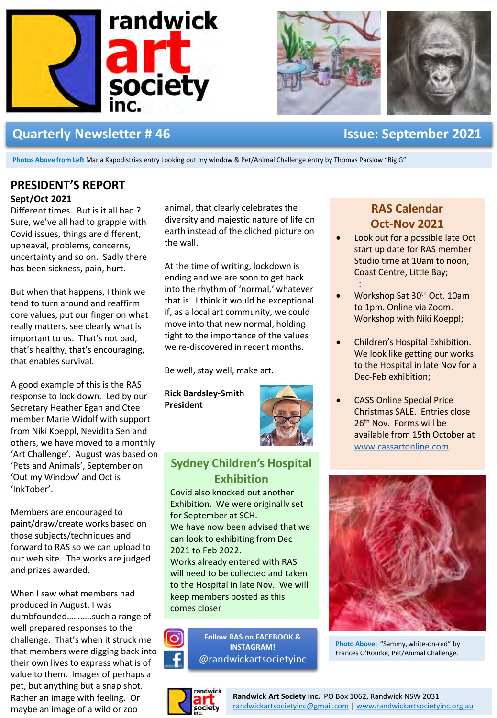



## **Quarterly Newsletter # 46 Issue: September 2021**

**Photos Above from Left** Maria Kapodistrias entry Looking out my window & Pet/Animal Challenge entry by Thomas Parslow "Big G"

# **PRESIDENT'S REPORT**

#### **Sept/Oct 2021**

Different times. But is it all bad ? Sure, we've all had to grapple with Covid issues, things are different, upheaval, problems, concerns, uncertainty and so on. Sadly there has been sickness, pain, hurt.

But when that happens, I think we tend to turn around and reaffirm core values, put our finger on what really matters, see clearly what is important to us. That's not bad, that's healthy, that's encouraging, that enables survival.

A good example of this is the RAS response to lock down. Led by our Secretary Heather Egan and Ctee member Marie Widolf with support from Niki Koeppl, Nevidita Sen and others, we have moved to a monthly 'Art Challenge'. August was based on 'Pets and Animals', September on 'Out my Window' and Oct is 'InkTober'.

Members are encouraged to paint/draw/create works based on those subjects/techniques and forward to RAS so we can upload to our web site. The works are judged and prizes awarded.

When I saw what members had produced in August, I was dumbfounded………..such a range of well prepared responses to the challenge. That's when it struck me that members were digging back into their own lives to express what is of value to them. Images of perhaps a pet, but anything but a snap shot. Rather an image with feeling. Or maybe an image of a wild or zoo

animal, that clearly celebrates the diversity and majestic nature of life on earth instead of the cliched picture on the wall.

At the time of writing, lockdown is ending and we are soon to get back into the rhythm of 'normal,' whatever that is. I think it would be exceptional if, as a local art community, we could move into that new normal, holding tight to the importance of the values we re-discovered in recent months.

Be well, stay well, make art.

**Rick Bardsley-Smith President**



## **Sydney Children's Hospital Exhibition**

Covid also knocked out another Exhibition. We were originally set for September at SCH. We have now been advised that we can look to exhibiting from Dec 2021 to Feb 2022. Works already entered with RAS will need to be collected and taken to the Hospital in late Nov. We will keep members posted as this



**Follow RAS on FACEBOOK & INSTAGRAM!** @randwickartsocietyinc



comes closer

## **RAS Calendar Oct-Nov 2021**

- Look out for a possible late Oct start up date for RAS member Studio time at 10am to noon, Coast Centre, Little Bay; :
- Workshop Sat 30<sup>th</sup> Oct. 10am to 1pm. Online via Zoom. Workshop with Niki Koeppl;
- Children's Hospital Exhibition. We look like getting our works to the Hospital in late Nov for a Dec-Feb exhibition;
- **CASS Online Special Price** Christmas SALE. Entries close 26<sup>th</sup> Nov. Forms will be available from 15th October at www.cassartonline.com.



**Photo Above:** "Sammy, white-on-red" by Frances O'Rourke, Pet/Animal Challenge.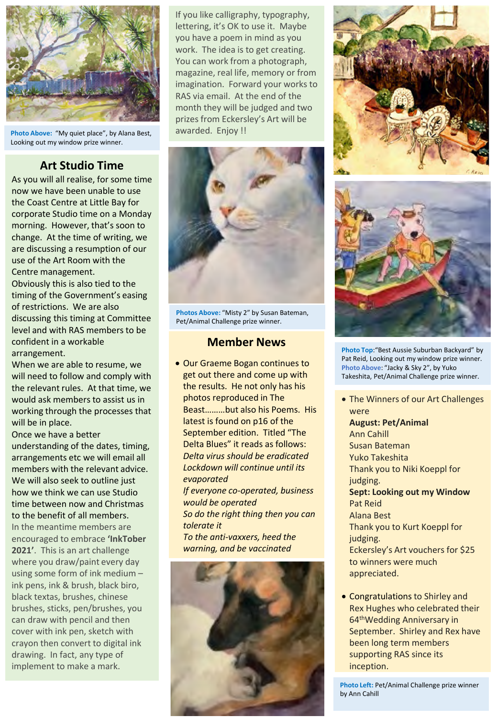

**Photo Above:** "My quiet place", by Alana Best, Looking out my window prize winner.

## **Art Studio Time**

As you will all realise, for some time now we have been unable to use the Coast Centre at Little Bay for corporate Studio time on a Monday morning. However, that's soon to change. At the time of writing, we are discussing a resumption of our use of the Art Room with the Centre management.

Obviously this is also tied to the timing of the Government's easing of restrictions. We are also discussing this timing at Committee level and with RAS members to be confident in a workable arrangement.

When we are able to resume, we will need to follow and comply with the relevant rules. At that time, we would ask members to assist us in working through the processes that will be in place.

Once we have a better understanding of the dates, timing, arrangements etc we will email all members with the relevant advice. We will also seek to outline just how we think we can use Studio time between now and Christmas to the benefit of all members.

In the meantime members are encouraged to embrace **'InkTober 2021'**. This is an art challenge where you draw/paint every day using some form of ink medium – ink pens, ink & brush, black biro, black textas, brushes, chinese brushes, sticks, pen/brushes, you can draw with pencil and then cover with ink pen, sketch with crayon then convert to digital ink drawing. In fact, any type of implement to make a mark.

If you like calligraphy, typography, lettering, it's OK to use it. Maybe you have a poem in mind as you work. The idea is to get creating. You can work from a photograph, magazine, real life, memory or from imagination. Forward your works to RAS via email. At the end of the month they will be judged and two prizes from Eckersley's Art will be awarded. Enjoy !!



**Photos Above:** "Misty 2" by Susan Bateman, Pet/Animal Challenge prize winner.

#### **Member News**

• Our Graeme Bogan continues to get out there and come up with the results. He not only has his photos reproduced in The Beast………but also his Poems. His latest is found on p16 of the September edition. Titled "The Delta Blues" it reads as follows: *Delta virus should be eradicated Lockdown will continue until its evaporated If everyone co-operated, business would be operated So do the right thing then you can tolerate it To the anti-vaxxers, heed the warning, and be vaccinated*







**Photo Top**:"Best Aussie Suburban Backyard" by Pat Reid, Looking out my window prize winner. **Photo Above**: "Jacky & Sky 2", by Yuko Takeshita, Pet/Animal Challenge prize winner.

• The Winners of our Art Challenges were **August: Pet/Animal** Ann Cahill Susan Bateman Yuko Takeshita Thank you to Niki Koeppl for judging. **Sept: Looking out my Window** Pat Reid Alana Best Thank you to Kurt Koeppl for judging. Eckersley's Art vouchers for \$25 to winners were much appreciated.

• Congratulations to Shirley and Rex Hughes who celebrated their 64thWedding Anniversary in September. Shirley and Rex have been long term members supporting RAS since its inception.

**Photo Left:** Pet/Animal Challenge prize winner by Ann Cahill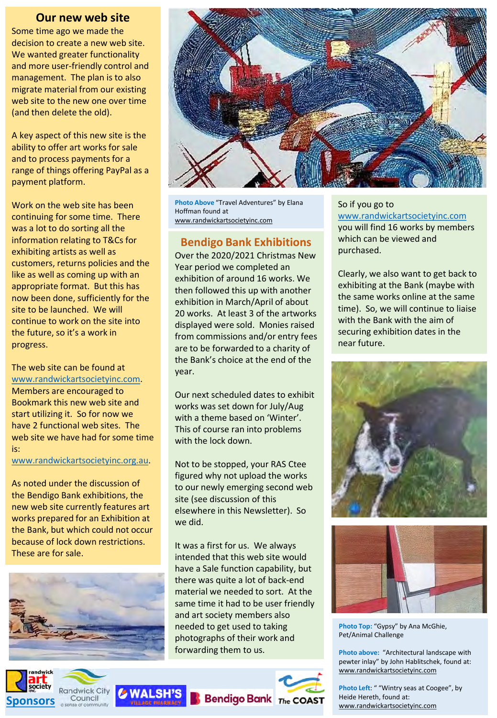#### **Our new web site**

Some time ago we made the decision to create a new web site. We wanted greater functionality and more user-friendly control and management. The plan is to also migrate material from our existing web site to the new one over time (and then delete the old).

A key aspect of this new site is the ability to offer art works for sale and to process payments for a range of things offering PayPal as a payment platform.

Work on the web site has been continuing for some time. There was a lot to do sorting all the information relating to T&Cs for exhibiting artists as well as customers, returns policies and the like as well as coming up with an appropriate format. But this has now been done, sufficiently for the site to be launched. We will continue to work on the site into the future, so it's a work in progress.

The web site can be found at www.randwickartsocietyinc.com. Members are encouraged to Bookmark this new web site and start utilizing it. So for now we have 2 functional web sites. The web site we have had for some time is:

www.randwickartsocietyinc.org.au.

As noted under the discussion of the Bendigo Bank exhibitions, the new web site currently features art works prepared for an Exhibition at the Bank, but which could not occur because of lock down restrictions. These are for sale.





**Photo Above** "Travel Adventures" by Elana Hoffman found at www.randwickartsocietyinc.com

## **Bendigo Bank Exhibitions**

Over the 2020/2021 Christmas New Year period we completed an exhibition of around 16 works. We then followed this up with another exhibition in March/April of about 20 works. At least 3 of the artworks displayed were sold. Monies raised from commissions and/or entry fees are to be forwarded to a charity of the Bank's choice at the end of the year.

Our next scheduled dates to exhibit works was set down for July/Aug with a theme based on 'Winter'. This of course ran into problems with the lock down.

Not to be stopped, your RAS Ctee figured why not upload the works to our newly emerging second web site (see discussion of this elsewhere in this Newsletter). So we did.

It was a first for us. We always intended that this web site would have a Sale function capability, but there was quite a lot of back-end material we needed to sort. At the same time it had to be user friendly and art society members also needed to get used to taking photographs of their work and forwarding them to us.



So if you go to www.randwickartsocietyinc.com you will find 16 works by members which can be viewed and purchased.

Clearly, we also want to get back to exhibiting at the Bank (maybe with the same works online at the same time). So, we will continue to liaise with the Bank with the aim of securing exhibition dates in the near future.





**Photo Top:** "Gypsy" by Ana McGhie, Pet/Animal Challenge

**Photo above:** "Architectural landscape with pewter inlay" by John Hablitschek, found at: www.randwickartsocietyinc.com

**Photo Left**: " "Wintry seas at Coogee", by Heide Hereth, found at: www.randwickartsocietyinc.com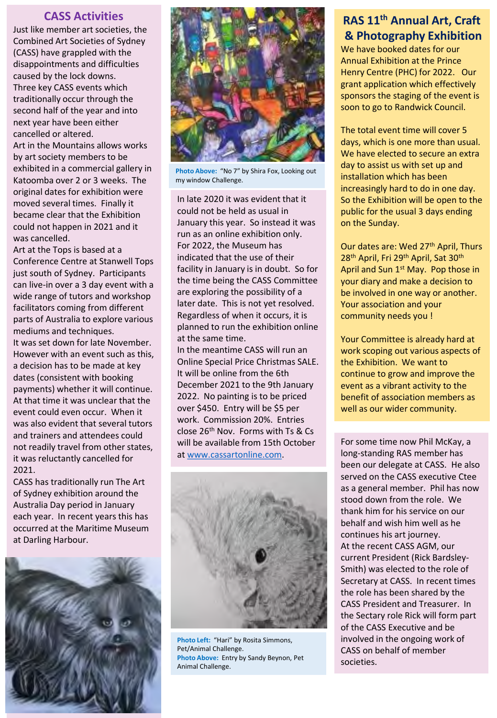### **CASS Activities**

Just like member art societies, the Combined Art Societies of Sydney (CASS) have grappled with the disappointments and difficulties caused by the lock downs. Three key CASS events which traditionally occur through the second half of the year and into next year have been either cancelled or altered.

Art in the Mountains allows works by art society members to be exhibited in a commercial gallery in Katoomba over 2 or 3 weeks. The original dates for exhibition were moved several times. Finally it became clear that the Exhibition could not happen in 2021 and it was cancelled.

Art at the Tops is based at a Conference Centre at Stanwell Tops just south of Sydney. Participants can live-in over a 3 day event with a wide range of tutors and workshop facilitators coming from different parts of Australia to explore various mediums and techniques. It was set down for late November. However with an event such as this, a decision has to be made at key dates (consistent with booking payments) whether it will continue. At that time it was unclear that the event could even occur. When it was also evident that several tutors and trainers and attendees could not readily travel from other states, it was reluctantly cancelled for 2021.

CASS has traditionally run The Art of Sydney exhibition around the Australia Day period in January each year. In recent years this has occurred at the Maritime Museum at Darling Harbour.





**Photo Above:** "No 7" by Shira Fox, Looking out my window Challenge.

In late 2020 it was evident that it could not be held as usual in January this year. So instead it was run as an online exhibition only. For 2022, the Museum has indicated that the use of their facility in January is in doubt. So for the time being the CASS Committee are exploring the possibility of a later date. This is not yet resolved. Regardless of when it occurs, it is planned to run the exhibition online at the same time.

In the meantime CASS will run an Online Special Price Christmas SALE. It will be online from the 6th December 2021 to the 9th January 2022. No painting is to be priced over \$450. Entry will be \$5 per work. Commission 20%. Entries close 26th Nov. Forms with Ts & Cs will be available from 15th October at www.cassartonline.com.



**Photo Left:** "Hari" by Rosita Simmons, Pet/Animal Challenge. **Photo Above:** Entry by Sandy Beynon, Pet Animal Challenge.

## **RAS 11th Annual Art, Craft & Photography Exhibition**

We have booked dates for our Annual Exhibition at the Prince Henry Centre (PHC) for 2022. Our grant application which effectively sponsors the staging of the event is soon to go to Randwick Council.

The total event time will cover 5 days, which is one more than usual. We have elected to secure an extra day to assist us with set up and installation which has been increasingly hard to do in one day. So the Exhibition will be open to the public for the usual 3 days ending on the Sunday.

Our dates are: Wed 27<sup>th</sup> April, Thurs 28<sup>th</sup> April, Fri 29<sup>th</sup> April, Sat 30<sup>th</sup> April and Sun 1<sup>st</sup> May. Pop those in your diary and make a decision to be involved in one way or another. Your association and your community needs you !

Your Committee is already hard at work scoping out various aspects of the Exhibition. We want to continue to grow and improve the event as a vibrant activity to the benefit of association members as well as our wider community.

For some time now Phil McKay, a long-standing RAS member has been our delegate at CASS. He also served on the CASS executive Ctee as a general member. Phil has now stood down from the role. We thank him for his service on our behalf and wish him well as he continues his art journey. At the recent CASS AGM, our current President (Rick Bardsley-Smith) was elected to the role of Secretary at CASS. In recent times the role has been shared by the CASS President and Treasurer. In the Sectary role Rick will form part of the CASS Executive and be involved in the ongoing work of CASS on behalf of member societies.